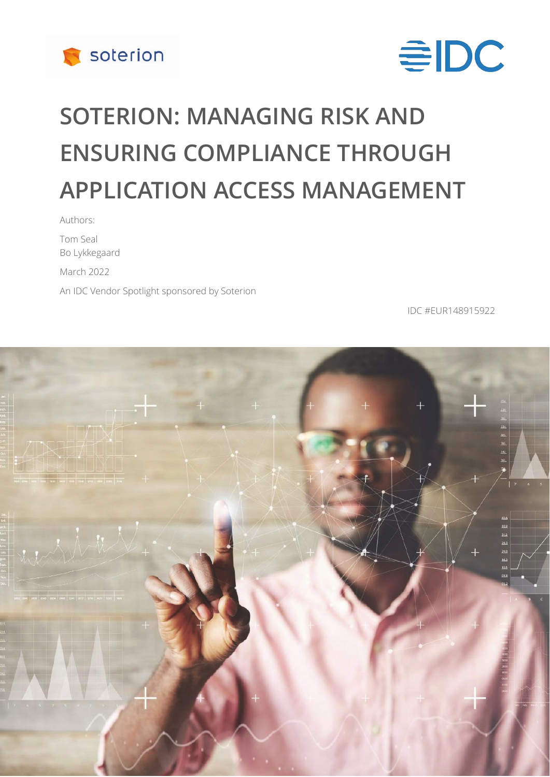



# **SOTERION: MANAGING RISK AND ENSURING COMPLIANCE THROUGH APPLICATION ACCESS MANAGEMENT**

Authors: Tom Seal Bo Lykkegaard March 2022 An IDC Vendor Spotlight sponsored by Soterion

IDC #EUR148915922

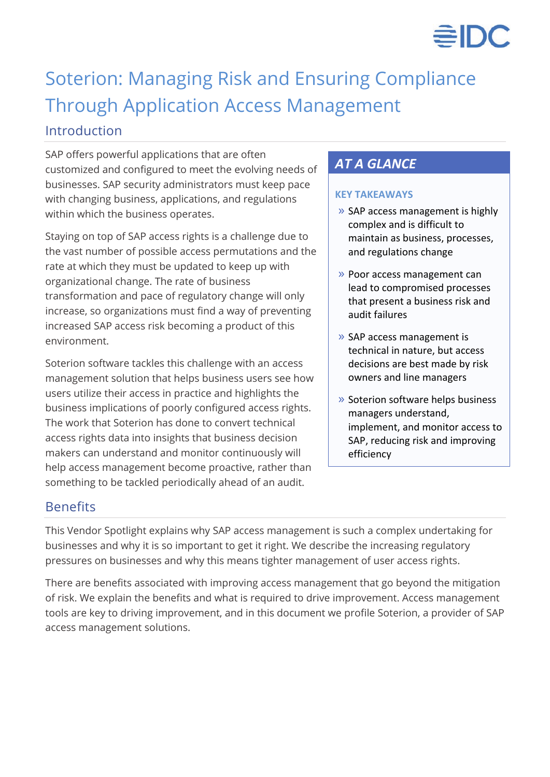

## Soterion: Managing Risk and Ensuring Compliance Through Application Access Management

## Introduction

SAP offers powerful applications that are often customized and configured to meet the evolving needs of businesses. SAP security administrators must keep pace with changing business, applications, and regulations within which the business operates.

Staying on top of SAP access rights is a challenge due to the vast number of possible access permutations and the rate at which they must be updated to keep up with organizational change. The rate of business transformation and pace of regulatory change will only increase, so organizations must find a way of preventing increased SAP access risk becoming a product of this environment.

Soterion software tackles this challenge with an access management solution that helps business users see how users utilize their access in practice and highlights the business implications of poorly configured access rights. The work that Soterion has done to convert technical access rights data into insights that business decision makers can understand and monitor continuously will help access management become proactive, rather than something to be tackled periodically ahead of an audit.

## *AT A GLANCE*

#### **KEY TAKEAWAYS**

- » SAP access management is highly complex and is difficult to maintain as business, processes, and regulations change
- » Poor access management can lead to compromised processes that present a business risk and audit failures
- » SAP access management is technical in nature, but access decisions are best made by risk owners and line managers
- » Soterion software helps business managers understand, implement, and monitor access to SAP, reducing risk and improving efficiency

## Benefits

This Vendor Spotlight explains why SAP access management is such a complex undertaking for businesses and why it is so important to get it right. We describe the increasing regulatory pressures on businesses and why this means tighter management of user access rights.

There are benefits associated with improving access management that go beyond the mitigation of risk. We explain the benefits and what is required to drive improvement. Access management tools are key to driving improvement, and in this document we profile Soterion, a provider of SAP access management solutions.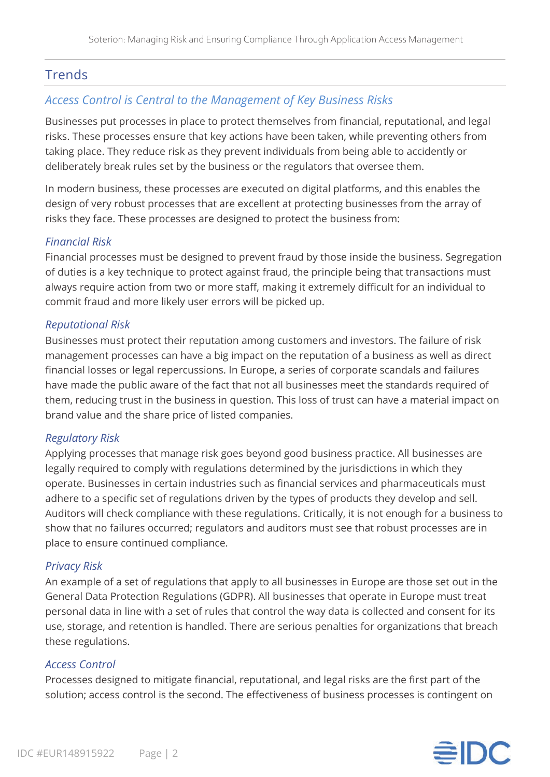## **Trends**

## *Access Control is Central to the Management of Key Business Risks*

Businesses put processes in place to protect themselves from financial, reputational, and legal risks. These processes ensure that key actions have been taken, while preventing others from taking place. They reduce risk as they prevent individuals from being able to accidently or deliberately break rules set by the business or the regulators that oversee them.

In modern business, these processes are executed on digital platforms, and this enables the design of very robust processes that are excellent at protecting businesses from the array of risks they face. These processes are designed to protect the business from:

#### *Financial Risk*

Financial processes must be designed to prevent fraud by those inside the business. Segregation of duties is a key technique to protect against fraud, the principle being that transactions must always require action from two or more staff, making it extremely difficult for an individual to commit fraud and more likely user errors will be picked up.

#### *Reputational Risk*

Businesses must protect their reputation among customers and investors. The failure of risk management processes can have a big impact on the reputation of a business as well as direct financial losses or legal repercussions. In Europe, a series of corporate scandals and failures have made the public aware of the fact that not all businesses meet the standards required of them, reducing trust in the business in question. This loss of trust can have a material impact on brand value and the share price of listed companies.

#### *Regulatory Risk*

Applying processes that manage risk goes beyond good business practice. All businesses are legally required to comply with regulations determined by the jurisdictions in which they operate. Businesses in certain industries such as financial services and pharmaceuticals must adhere to a specific set of regulations driven by the types of products they develop and sell. Auditors will check compliance with these regulations. Critically, it is not enough for a business to show that no failures occurred; regulators and auditors must see that robust processes are in place to ensure continued compliance.

#### *Privacy Risk*

An example of a set of regulations that apply to all businesses in Europe are those set out in the General Data Protection Regulations (GDPR). All businesses that operate in Europe must treat personal data in line with a set of rules that control the way data is collected and consent for its use, storage, and retention is handled. There are serious penalties for organizations that breach these regulations.

#### *Access Control*

Processes designed to mitigate financial, reputational, and legal risks are the first part of the solution; access control is the second. The effectiveness of business processes is contingent on

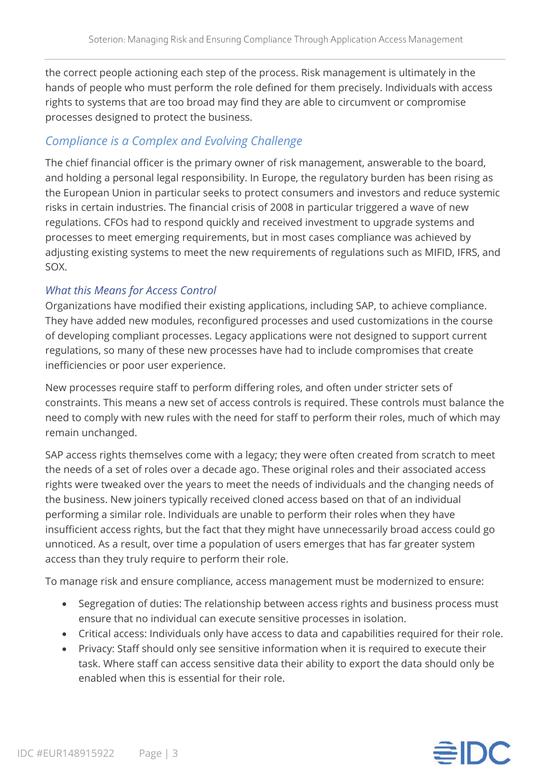the correct people actioning each step of the process. Risk management is ultimately in the hands of people who must perform the role defined for them precisely. Individuals with access rights to systems that are too broad may find they are able to circumvent or compromise processes designed to protect the business.

## *Compliance is a Complex and Evolving Challenge*

The chief financial officer is the primary owner of risk management, answerable to the board, and holding a personal legal responsibility. In Europe, the regulatory burden has been rising as the European Union in particular seeks to protect consumers and investors and reduce systemic risks in certain industries. The financial crisis of 2008 in particular triggered a wave of new regulations. CFOs had to respond quickly and received investment to upgrade systems and processes to meet emerging requirements, but in most cases compliance was achieved by adjusting existing systems to meet the new requirements of regulations such as MIFID, IFRS, and SOX.

## *What this Means for Access Control*

Organizations have modified their existing applications, including SAP, to achieve compliance. They have added new modules, reconfigured processes and used customizations in the course of developing compliant processes. Legacy applications were not designed to support current regulations, so many of these new processes have had to include compromises that create inefficiencies or poor user experience.

New processes require staff to perform differing roles, and often under stricter sets of constraints. This means a new set of access controls is required. These controls must balance the need to comply with new rules with the need for staff to perform their roles, much of which may remain unchanged.

SAP access rights themselves come with a legacy; they were often created from scratch to meet the needs of a set of roles over a decade ago. These original roles and their associated access rights were tweaked over the years to meet the needs of individuals and the changing needs of the business. New joiners typically received cloned access based on that of an individual performing a similar role. Individuals are unable to perform their roles when they have insufficient access rights, but the fact that they might have unnecessarily broad access could go unnoticed. As a result, over time a population of users emerges that has far greater system access than they truly require to perform their role.

To manage risk and ensure compliance, access management must be modernized to ensure:

- Segregation of duties: The relationship between access rights and business process must ensure that no individual can execute sensitive processes in isolation.
- Critical access: Individuals only have access to data and capabilities required for their role.
- Privacy: Staff should only see sensitive information when it is required to execute their task. Where staff can access sensitive data their ability to export the data should only be enabled when this is essential for their role.

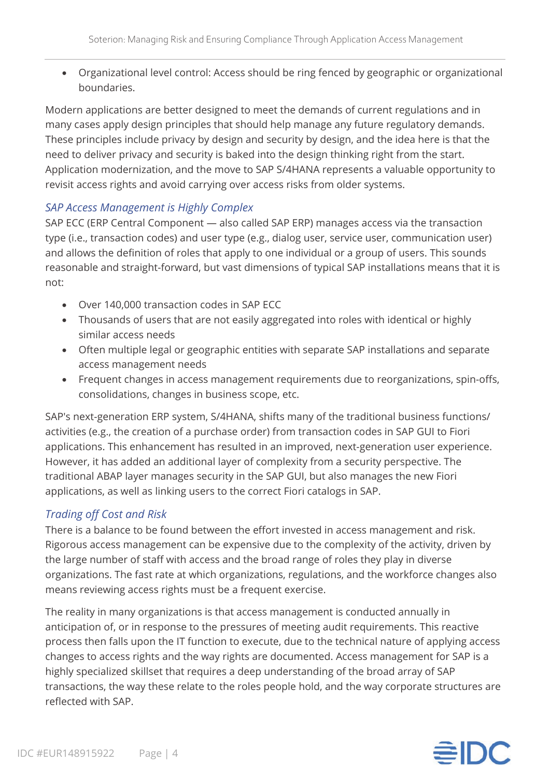• Organizational level control: Access should be ring fenced by geographic or organizational boundaries.

Modern applications are better designed to meet the demands of current regulations and in many cases apply design principles that should help manage any future regulatory demands. These principles include privacy by design and security by design, and the idea here is that the need to deliver privacy and security is baked into the design thinking right from the start. Application modernization, and the move to SAP S/4HANA represents a valuable opportunity to revisit access rights and avoid carrying over access risks from older systems.

#### *SAP Access Management is Highly Complex*

SAP ECC (ERP Central Component — also called SAP ERP) manages access via the transaction type (i.e., transaction codes) and user type (e.g., dialog user, service user, communication user) and allows the definition of roles that apply to one individual or a group of users. This sounds reasonable and straight-forward, but vast dimensions of typical SAP installations means that it is not:

- Over 140,000 transaction codes in SAP ECC
- Thousands of users that are not easily aggregated into roles with identical or highly similar access needs
- Often multiple legal or geographic entities with separate SAP installations and separate access management needs
- Frequent changes in access management requirements due to reorganizations, spin-offs, consolidations, changes in business scope, etc.

SAP's next-generation ERP system, S/4HANA, shifts many of the traditional business functions/ activities (e.g., the creation of a purchase order) from transaction codes in SAP GUI to Fiori applications. This enhancement has resulted in an improved, next-generation user experience. However, it has added an additional layer of complexity from a security perspective. The traditional ABAP layer manages security in the SAP GUI, but also manages the new Fiori applications, as well as linking users to the correct Fiori catalogs in SAP.

## *Trading off Cost and Risk*

There is a balance to be found between the effort invested in access management and risk. Rigorous access management can be expensive due to the complexity of the activity, driven by the large number of staff with access and the broad range of roles they play in diverse organizations. The fast rate at which organizations, regulations, and the workforce changes also means reviewing access rights must be a frequent exercise.

The reality in many organizations is that access management is conducted annually in anticipation of, or in response to the pressures of meeting audit requirements. This reactive process then falls upon the IT function to execute, due to the technical nature of applying access changes to access rights and the way rights are documented. Access management for SAP is a highly specialized skillset that requires a deep understanding of the broad array of SAP transactions, the way these relate to the roles people hold, and the way corporate structures are reflected with SAP.

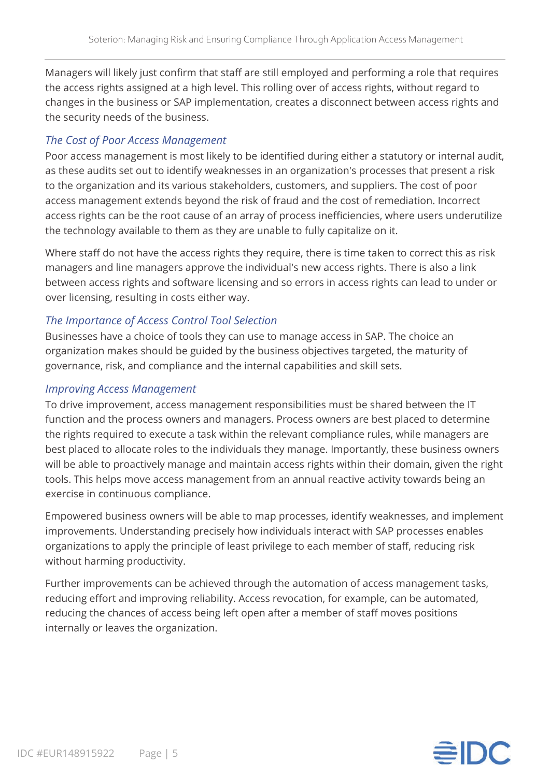Managers will likely just confirm that staff are still employed and performing a role that requires the access rights assigned at a high level. This rolling over of access rights, without regard to changes in the business or SAP implementation, creates a disconnect between access rights and the security needs of the business.

## *The Cost of Poor Access Management*

Poor access management is most likely to be identified during either a statutory or internal audit, as these audits set out to identify weaknesses in an organization's processes that present a risk to the organization and its various stakeholders, customers, and suppliers. The cost of poor access management extends beyond the risk of fraud and the cost of remediation. Incorrect access rights can be the root cause of an array of process inefficiencies, where users underutilize the technology available to them as they are unable to fully capitalize on it.

Where staff do not have the access rights they require, there is time taken to correct this as risk managers and line managers approve the individual's new access rights. There is also a link between access rights and software licensing and so errors in access rights can lead to under or over licensing, resulting in costs either way.

## *The Importance of Access Control Tool Selection*

Businesses have a choice of tools they can use to manage access in SAP. The choice an organization makes should be guided by the business objectives targeted, the maturity of governance, risk, and compliance and the internal capabilities and skill sets.

## *Improving Access Management*

To drive improvement, access management responsibilities must be shared between the IT function and the process owners and managers. Process owners are best placed to determine the rights required to execute a task within the relevant compliance rules, while managers are best placed to allocate roles to the individuals they manage. Importantly, these business owners will be able to proactively manage and maintain access rights within their domain, given the right tools. This helps move access management from an annual reactive activity towards being an exercise in continuous compliance.

Empowered business owners will be able to map processes, identify weaknesses, and implement improvements. Understanding precisely how individuals interact with SAP processes enables organizations to apply the principle of least privilege to each member of staff, reducing risk without harming productivity.

Further improvements can be achieved through the automation of access management tasks, reducing effort and improving reliability. Access revocation, for example, can be automated, reducing the chances of access being left open after a member of staff moves positions internally or leaves the organization.

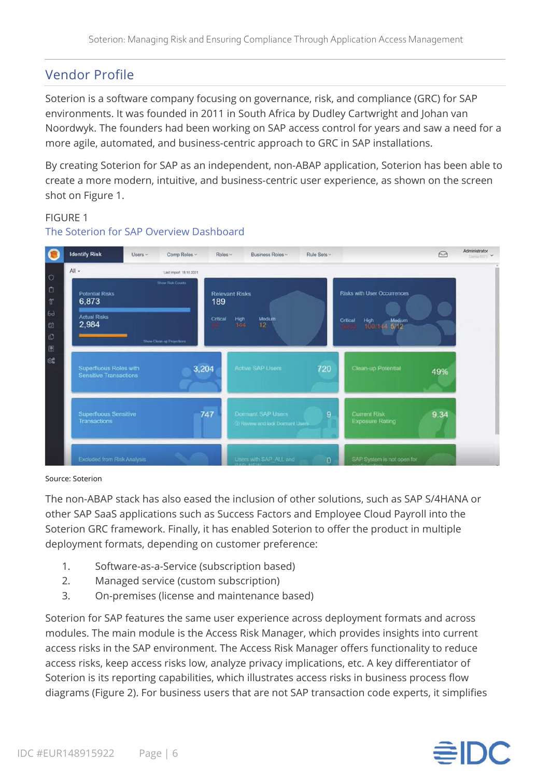## Vendor Profile

Soterion is a software company focusing on governance, risk, and compliance (GRC) for SAP environments. It was founded in 2011 in South Africa by Dudley Cartwright and Johan van Noordwyk. The founders had been working on SAP access control for years and saw a need for a more agile, automated, and business-centric approach to GRC in SAP installations.

By creating Soterion for SAP as an independent, non-ABAP application, Soterion has been able to create a more modern, intuitive, and business-centric user experience, as shown on the screen shot on Figure 1.

## FIGURE 1



#### The Soterion for SAP Overview Dashboard

#### Source: Soterion

The non-ABAP stack has also eased the inclusion of other solutions, such as SAP S/4HANA or other SAP SaaS applications such as Success Factors and Employee Cloud Payroll into the Soterion GRC framework. Finally, it has enabled Soterion to offer the product in multiple deployment formats, depending on customer preference:

- 1. Software-as-a-Service (subscription based)
- 2. Managed service (custom subscription)
- 3. On-premises (license and maintenance based)

Soterion for SAP features the same user experience across deployment formats and across modules. The main module is the Access Risk Manager, which provides insights into current access risks in the SAP environment. The Access Risk Manager offers functionality to reduce access risks, keep access risks low, analyze privacy implications, etc. A key differentiator of Soterion is its reporting capabilities, which illustrates access risks in business process flow diagrams (Figure 2). For business users that are not SAP transaction code experts, it simplifies

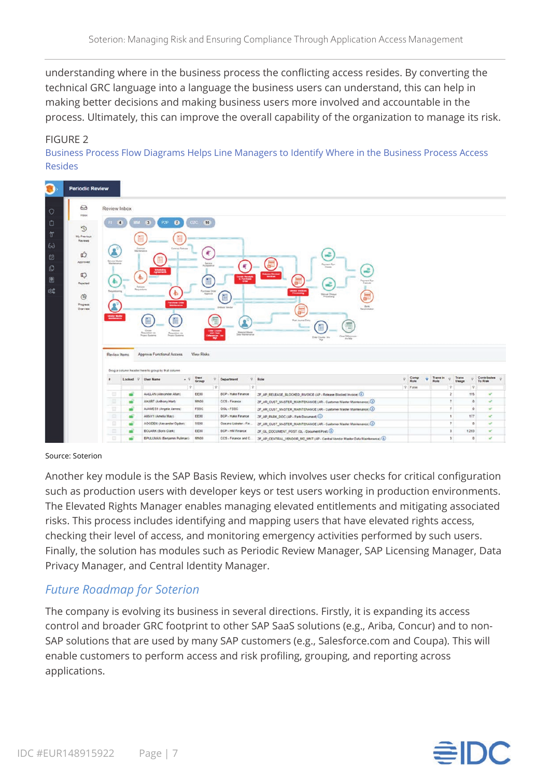understanding where in the business process the conflicting access resides. By converting the technical GRC language into a language the business users can understand, this can help in making better decisions and making business users more involved and accountable in the process. Ultimately, this can improve the overall capability of the organization to manage its risk.

#### FIGURE 2

Business Process Flow Diagrams Helps Line Managers to Identify Where in the Business Process Access Resides



#### Source: Soterion

Another key module is the SAP Basis Review, which involves user checks for critical configuration such as production users with developer keys or test users working in production environments. The Elevated Rights Manager enables managing elevated entitlements and mitigating associated risks. This process includes identifying and mapping users that have elevated rights access, checking their level of access, and monitoring emergency activities performed by such users. Finally, the solution has modules such as Periodic Review Manager, SAP Licensing Manager, Data Privacy Manager, and Central Identity Manager.

## *Future Roadmap for Soterion*

The company is evolving its business in several directions. Firstly, it is expanding its access control and broader GRC footprint to other SAP SaaS solutions (e.g., Ariba, Concur) and to non-SAP solutions that are used by many SAP customers (e.g., Salesforce.com and Coupa). This will enable customers to perform access and risk profiling, grouping, and reporting across applications.

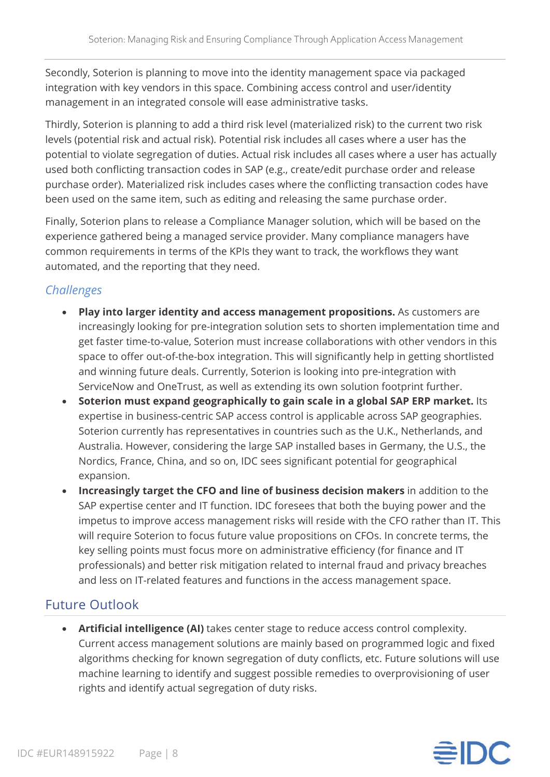Secondly, Soterion is planning to move into the identity management space via packaged integration with key vendors in this space. Combining access control and user/identity management in an integrated console will ease administrative tasks.

Thirdly, Soterion is planning to add a third risk level (materialized risk) to the current two risk levels (potential risk and actual risk). Potential risk includes all cases where a user has the potential to violate segregation of duties. Actual risk includes all cases where a user has actually used both conflicting transaction codes in SAP (e.g., create/edit purchase order and release purchase order). Materialized risk includes cases where the conflicting transaction codes have been used on the same item, such as editing and releasing the same purchase order.

Finally, Soterion plans to release a Compliance Manager solution, which will be based on the experience gathered being a managed service provider. Many compliance managers have common requirements in terms of the KPIs they want to track, the workflows they want automated, and the reporting that they need.

## *Challenges*

- **Play into larger identity and access management propositions.** As customers are increasingly looking for pre-integration solution sets to shorten implementation time and get faster time-to-value, Soterion must increase collaborations with other vendors in this space to offer out-of-the-box integration. This will significantly help in getting shortlisted and winning future deals. Currently, Soterion is looking into pre-integration with ServiceNow and OneTrust, as well as extending its own solution footprint further.
- **Soterion must expand geographically to gain scale in a global SAP ERP market.** Its expertise in business-centric SAP access control is applicable across SAP geographies. Soterion currently has representatives in countries such as the U.K., Netherlands, and Australia. However, considering the large SAP installed bases in Germany, the U.S., the Nordics, France, China, and so on, IDC sees significant potential for geographical expansion.
- **Increasingly target the CFO and line of business decision makers** in addition to the SAP expertise center and IT function. IDC foresees that both the buying power and the impetus to improve access management risks will reside with the CFO rather than IT. This will require Soterion to focus future value propositions on CFOs. In concrete terms, the key selling points must focus more on administrative efficiency (for finance and IT professionals) and better risk mitigation related to internal fraud and privacy breaches and less on IT-related features and functions in the access management space.

## Future Outlook

• **Artificial intelligence (AI)** takes center stage to reduce access control complexity. Current access management solutions are mainly based on programmed logic and fixed algorithms checking for known segregation of duty conflicts, etc. Future solutions will use machine learning to identify and suggest possible remedies to overprovisioning of user rights and identify actual segregation of duty risks.

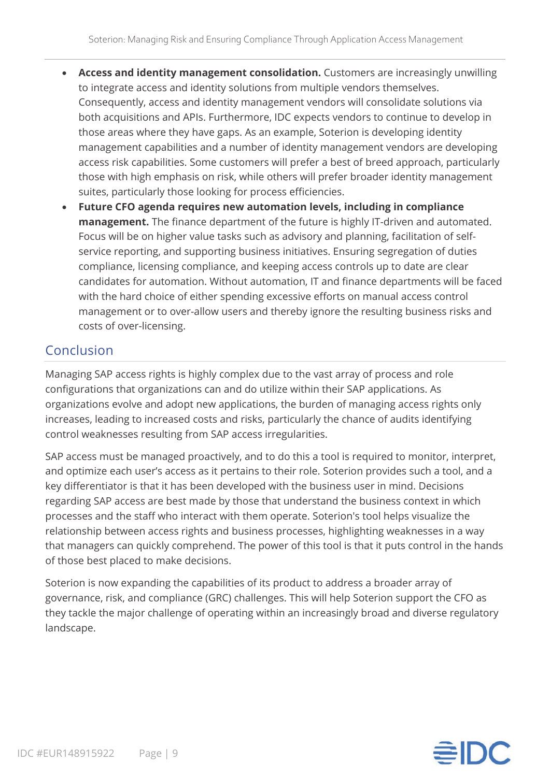- **Access and identity management consolidation.** Customers are increasingly unwilling to integrate access and identity solutions from multiple vendors themselves. Consequently, access and identity management vendors will consolidate solutions via both acquisitions and APIs. Furthermore, IDC expects vendors to continue to develop in those areas where they have gaps. As an example, Soterion is developing identity management capabilities and a number of identity management vendors are developing access risk capabilities. Some customers will prefer a best of breed approach, particularly those with high emphasis on risk, while others will prefer broader identity management suites, particularly those looking for process efficiencies.
- **Future CFO agenda requires new automation levels, including in compliance management.** The finance department of the future is highly IT-driven and automated. Focus will be on higher value tasks such as advisory and planning, facilitation of selfservice reporting, and supporting business initiatives. Ensuring segregation of duties compliance, licensing compliance, and keeping access controls up to date are clear candidates for automation. Without automation, IT and finance departments will be faced with the hard choice of either spending excessive efforts on manual access control management or to over-allow users and thereby ignore the resulting business risks and costs of over-licensing.

## Conclusion

Managing SAP access rights is highly complex due to the vast array of process and role configurations that organizations can and do utilize within their SAP applications. As organizations evolve and adopt new applications, the burden of managing access rights only increases, leading to increased costs and risks, particularly the chance of audits identifying control weaknesses resulting from SAP access irregularities.

SAP access must be managed proactively, and to do this a tool is required to monitor, interpret, and optimize each user's access as it pertains to their role. Soterion provides such a tool, and a key differentiator is that it has been developed with the business user in mind. Decisions regarding SAP access are best made by those that understand the business context in which processes and the staff who interact with them operate. Soterion's tool helps visualize the relationship between access rights and business processes, highlighting weaknesses in a way that managers can quickly comprehend. The power of this tool is that it puts control in the hands of those best placed to make decisions.

Soterion is now expanding the capabilities of its product to address a broader array of governance, risk, and compliance (GRC) challenges. This will help Soterion support the CFO as they tackle the major challenge of operating within an increasingly broad and diverse regulatory landscape.

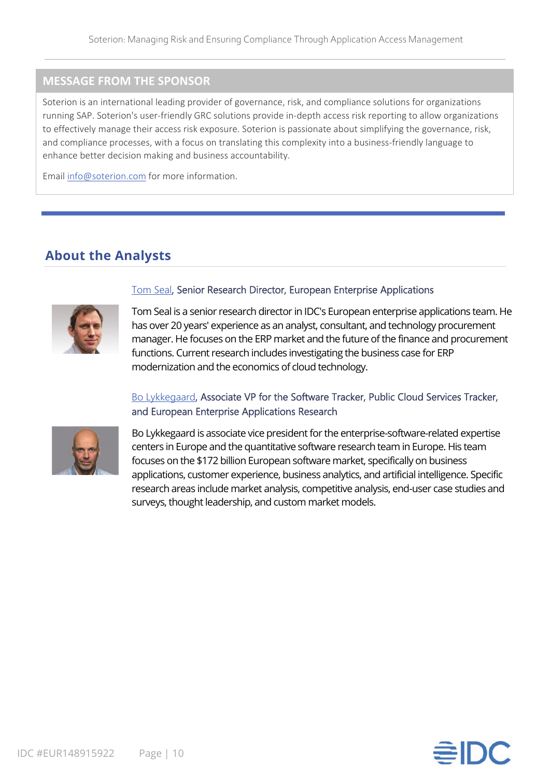## **MESSAGE FROM THE SPONSOR**

Soterion is an international leading provider of governance, risk, and compliance solutions for organizations running SAP. Soterion's user-friendly GRC solutions provide in-depth access risk reporting to allow organizations to effectively manage their access risk exposure. Soterion is passionate about simplifying the governance, risk, and compliance processes, with a focus on translating this complexity into a business-friendly language to enhance better decision making and business accountability.

Email [info@soterion.com](mailto:info@soterion.com) for more information.

## **About the Analysts**



#### [Tom Seal,](https://www.idc.com/getdoc.jsp?containerId=PRF005118) Senior Research Director, European Enterprise Applications

Tom Seal is a senior research director in IDC's European enterprise applications team. He has over 20 years' experience as an analyst, consultant, and technology procurement manager. He focuses on the ERP market and the future of the finance and procurement functions. Current research includes investigating the business case for ERP modernization and the economics of cloud technology.

#### [Bo Lykkegaard,](https://www.idc.com/getdoc.jsp?containerId=PRF001680) Associate VP for the Software Tracker, Public Cloud Services Tracker, and European Enterprise Applications Research



Bo Lykkegaard is associate vice president for the enterprise-software-related expertise centers in Europe and the quantitative software research team in Europe. His team focuses on the \$172 billion European software market, specifically on business applications, customer experience, business analytics, and artificial intelligence. Specific research areas include market analysis, competitive analysis, end-user case studies and surveys, thought leadership, and custom market models.